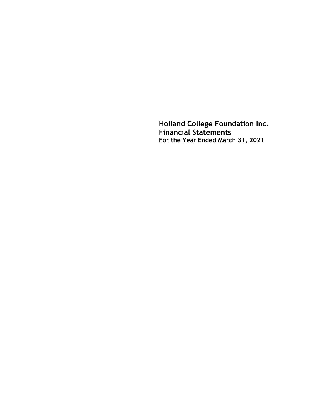**Holland College Foundation Inc. Financial Statements For the Year Ended March 31, 2021**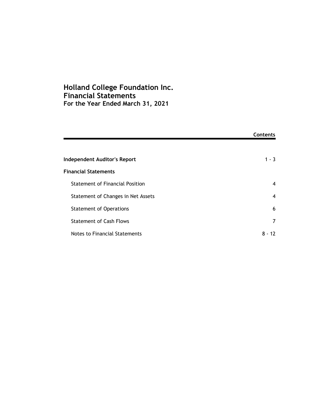# **Holland College Foundation Inc. Financial Statements For the Year Ended March 31, 2021**

|                                        | Contents |
|----------------------------------------|----------|
|                                        |          |
| <b>Independent Auditor's Report</b>    | $1 - 3$  |
| <b>Financial Statements</b>            |          |
| <b>Statement of Financial Position</b> | 4        |
| Statement of Changes in Net Assets     | 4        |
| <b>Statement of Operations</b>         | 6        |
| <b>Statement of Cash Flows</b>         | 7        |
| Notes to Financial Statements          | 8 - 12   |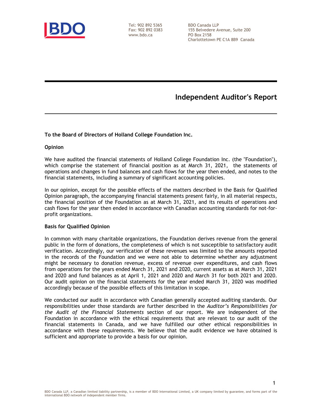

Tel: 902 892 5365 Fax: 902 892 0383 www.bdo.ca

BDO Canada LLP 155 Belvedere Avenue, Suite 200 PO Box 2158 Charlottetown PE C1A 8B9 Canada

 **Independent Auditor's Report**

### **To the Board of Directors of Holland College Foundation Inc.**

#### **Opinion**

We have audited the financial statements of Holland College Foundation Inc. (the "Foundation"), which comprise the statement of financial position as at March 31, 2021, the statements of operations and changes in fund balances and cash flows for the year then ended, and notes to the financial statements, including a summary of significant accounting policies.

In our opinion, except for the possible effects of the matters described in the Basis for Qualified Opinion paragraph, the accompanying financial statements present fairly, in all material respects, the financial position of the Foundation as at March 31, 2021, and its results of operations and cash flows for the year then ended in accordance with Canadian accounting standards for not-forprofit organizations.

### **Basis for Qualified Opinion**

In common with many charitable organizations, the Foundation derives revenue from the general public in the form of donations, the completeness of which is not susceptible to satisfactory audit verification. Accordingly, our verification of these revenues was limited to the amounts reported in the records of the Foundation and we were not able to determine whether any adjustment might be necessary to donation revenue, excess of revenue over expenditures, and cash flows from operations for the years ended March 31, 2021 and 2020, current assets as at March 31, 2021 and 2020 and fund balances as at April 1, 2021 and 2020 and March 31 for both 2021 and 2020. Our audit opinion on the financial statements for the year ended March 31, 2020 was modified accordingly because of the possible effects of this limitation in scope.

We conducted our audit in accordance with Canadian generally accepted auditing standards. Our responsibilities under those standards are further described in the *Auditor's Responsibilities for the Audit of the Financial Statements* section of our report. We are independent of the Foundation in accordance with the ethical requirements that are relevant to our audit of the financial statements in Canada, and we have fulfilled our other ethical responsibilities in accordance with these requirements. We believe that the audit evidence we have obtained is sufficient and appropriate to provide a basis for our opinion.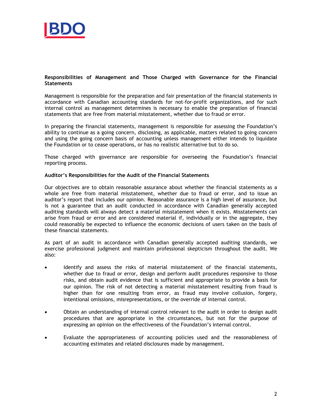

### **Responsibilities of Management and Those Charged with Governance for the Financial Statements**

Management is responsible for the preparation and fair presentation of the financial statements in accordance with Canadian accounting standards for not-for-profit organizations, and for such internal control as management determines is necessary to enable the preparation of financial statements that are free from material misstatement, whether due to fraud or error.

In preparing the financial statements, management is responsible for assessing the Foundation's ability to continue as a going concern, disclosing, as applicable, matters related to going concern and using the going concern basis of accounting unless management either intends to liquidate the Foundation or to cease operations, or has no realistic alternative but to do so.

Those charged with governance are responsible for overseeing the Foundation's financial reporting process.

#### **Auditor's Responsibilities for the Audit of the Financial Statements**

Our objectives are to obtain reasonable assurance about whether the financial statements as a whole are free from material misstatement, whether due to fraud or error, and to issue an auditor's report that includes our opinion. Reasonable assurance is a high level of assurance, but is not a guarantee that an audit conducted in accordance with Canadian generally accepted auditing standards will always detect a material misstatement when it exists. Misstatements can arise from fraud or error and are considered material if, individually or in the aggregate, they could reasonably be expected to influence the economic decisions of users taken on the basis of these financial statements.

As part of an audit in accordance with Canadian generally accepted auditing standards, we exercise professional judgment and maintain professional skepticism throughout the audit. We also:

- Identify and assess the risks of material misstatement of the financial statements, whether due to fraud or error, design and perform audit procedures responsive to those risks, and obtain audit evidence that is sufficient and appropriate to provide a basis for our opinion. The risk of not detecting a material misstatement resulting from fraud is higher than for one resulting from error, as fraud may involve collusion, forgery, intentional omissions, misrepresentations, or the override of internal control.
- Obtain an understanding of internal control relevant to the audit in order to design audit procedures that are appropriate in the circumstances, but not for the purpose of expressing an opinion on the effectiveness of the Foundation's internal control.
- Evaluate the appropriateness of accounting policies used and the reasonableness of accounting estimates and related disclosures made by management.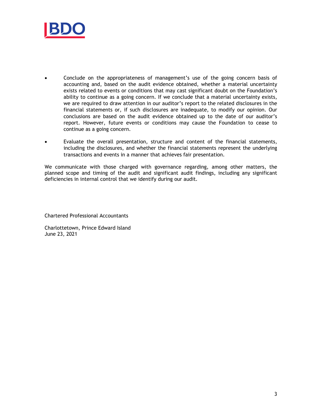

- Conclude on the appropriateness of management's use of the going concern basis of accounting and, based on the audit evidence obtained, whether a material uncertainty exists related to events or conditions that may cast significant doubt on the Foundation's ability to continue as a going concern. If we conclude that a material uncertainty exists, we are required to draw attention in our auditor's report to the related disclosures in the financial statements or, if such disclosures are inadequate, to modify our opinion. Our conclusions are based on the audit evidence obtained up to the date of our auditor's report. However, future events or conditions may cause the Foundation to cease to continue as a going concern.
- Evaluate the overall presentation, structure and content of the financial statements, including the disclosures, and whether the financial statements represent the underlying transactions and events in a manner that achieves fair presentation.

We communicate with those charged with governance regarding, among other matters, the planned scope and timing of the audit and significant audit findings, including any significant deficiencies in internal control that we identify during our audit.

Chartered Professional Accountants

Charlottetown, Prince Edward Island June 23, 2021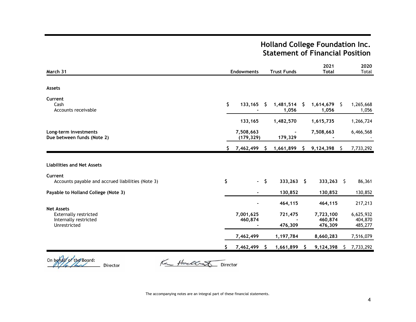## **Holland College Foundation Inc. Statement of Financial Position**

| March 31                                                              |    | <b>Endowments</b>       |      | <b>Trust Funds</b> |               | 2021<br><b>Total</b>            |              | 2020<br>Total                   |
|-----------------------------------------------------------------------|----|-------------------------|------|--------------------|---------------|---------------------------------|--------------|---------------------------------|
| <b>Assets</b>                                                         |    |                         |      |                    |               |                                 |              |                                 |
| Current<br>Cash<br>Accounts receivable                                | \$ | 133,165                 | S.   | 1,481,514<br>1,056 | -\$           | $1,614,679$ \$<br>1,056         |              | 1,265,668<br>1,056              |
|                                                                       |    | 133,165                 |      | 1,482,570          |               | 1,615,735                       |              | 1,266,724                       |
| Long-term investments<br>Due between funds (Note 2)                   |    | 7,508,663<br>(179, 329) |      | 179,329            |               | 7,508,663                       |              | 6,466,568                       |
|                                                                       | S. | 7,462,499               | S.   | 1,661,899          | $\frac{1}{2}$ | 9,124,398                       | $\sqrt{5}$   | 7,733,292                       |
| <b>Liabilities and Net Assets</b>                                     |    |                         |      |                    |               |                                 |              |                                 |
| Current<br>Accounts payable and accrued liabilities (Note 3)          | \$ |                         | $-5$ | $333,263$ \$       |               | $333,263$ \$                    |              | 86,361                          |
| Payable to Holland College (Note 3)                                   |    | $\blacksquare$          |      | 130,852            |               | 130,852                         |              | 130,852                         |
| <b>Net Assets</b>                                                     |    |                         |      | 464,115            |               | 464,115                         |              | 217,213                         |
| <b>Externally restricted</b><br>Internally restricted<br>Unrestricted |    | 7,001,625<br>460,874    |      | 721,475<br>476,309 |               | 7,723,100<br>460,874<br>476,309 |              | 6,625,932<br>404,870<br>485,277 |
|                                                                       |    | 7,462,499               |      | 1,197,784          |               | 8,660,283                       |              | 7,516,079                       |
|                                                                       | S. | 7,462,499               | S.   | 1,661,899          | S.            | 9,124,398                       | $\mathsf{S}$ | 7,733,292                       |

On behalf of the Board:

Director Ke Heller Director

The accompanying notes are an integral part of these financial statements.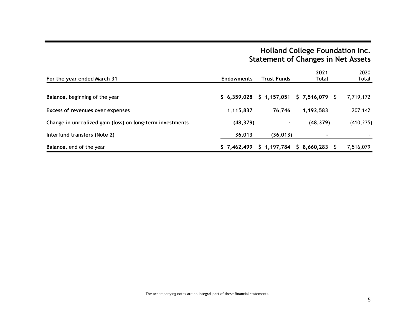# **Holland College Foundation Inc. Statement of Changes in Net Assets**

| For the year ended March 31                               | <b>Endowments</b> | <b>Trust Funds</b>         | 2021<br>Total     | 2020<br>Total |
|-----------------------------------------------------------|-------------------|----------------------------|-------------------|---------------|
|                                                           |                   |                            |                   |               |
| <b>Balance, beginning of the year</b>                     |                   | $$6,359,028$$ $$1,157,051$ | \$7,516,079<br>S. | 7,719,172     |
| Excess of revenues over expenses                          | 1,115,837         | 76,746                     | 1,192,583         | 207,142       |
| Change in unrealized gain (loss) on long-term investments | (48, 379)         | ۰.                         | (48, 379)         | (410, 235)    |
| Interfund transfers (Note 2)                              | 36,013            | (36, 013)                  | $\blacksquare$    |               |
| Balance, end of the year                                  | \$7,462,499       | \$1,197,784                | \$8,660,283       | 7,516,079     |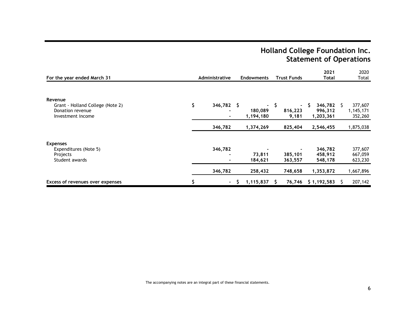# **Holland College Foundation Inc. Statement of Operations**

| For the year ended March 31                         | Administrative            | <b>Endowments</b>    |   | <b>Trust Funds</b> | 2021<br>Total                 |    | 2020<br>Total                 |
|-----------------------------------------------------|---------------------------|----------------------|---|--------------------|-------------------------------|----|-------------------------------|
|                                                     |                           |                      |   |                    |                               |    |                               |
| Revenue<br>Grant - Holland College (Note 2)         | \$<br>346,782 \$          | $\blacksquare$       | S |                    | 346,782                       | S. | 377,607                       |
| Donation revenue<br>Investment income               | $\blacksquare$            | 180,089<br>1,194,180 |   | 816,223<br>9,181   | 996,312<br>1,203,361          |    | 1,145,171<br>352,260          |
|                                                     | 346,782                   | 1,374,269            |   | 825,404            | 2,546,455                     |    | 1,875,038                     |
| <b>Expenses</b>                                     |                           |                      |   |                    |                               |    |                               |
| Expenditures (Note 5)<br>Projects<br>Student awards | 346,782<br>$\blacksquare$ | 73,811<br>184,621    |   | 385,101<br>363,557 | 346,782<br>458,912<br>548,178 |    | 377,607<br>667,059<br>623,230 |
|                                                     | 346,782                   | 258,432              |   | 748,658            | 1,353,872                     |    | 1,667,896                     |
| Excess of revenues over expenses                    | $\sim 100$                | 1,115,837            | S | 76,746             | \$1,192,583                   |    | 207,142                       |

The accompanying notes are an integral part of these financial statements.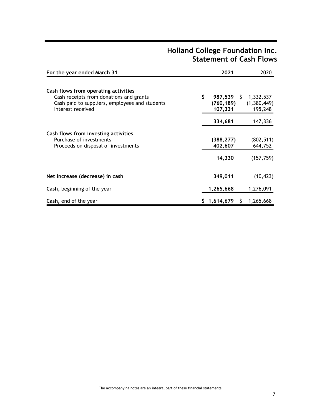## **Holland College Foundation Inc. Statement of Cash Flows**

| For the year ended March 31                                                                                                                            |  | 2021                                 |    | 2020                                |
|--------------------------------------------------------------------------------------------------------------------------------------------------------|--|--------------------------------------|----|-------------------------------------|
| Cash flows from operating activities<br>Cash receipts from donations and grants<br>Cash paid to suppliers, employees and students<br>Interest received |  | $987,539$ \$<br>(760,189)<br>107,331 |    | 1,332,537<br>(1,380,449)<br>195,248 |
|                                                                                                                                                        |  | 334,681                              |    | 147,336                             |
| Cash flows from investing activities<br>Purchase of investments<br>Proceeds on disposal of investments                                                 |  | (388, 277)<br>402,607                |    | (802, 511)<br>644,752               |
|                                                                                                                                                        |  | 14,330                               |    | (157, 759)                          |
| Net increase (decrease) in cash                                                                                                                        |  | 349,011                              |    | (10, 423)                           |
| Cash, beginning of the year                                                                                                                            |  | 1,265,668                            |    | 1,276,091                           |
| Cash, end of the year                                                                                                                                  |  | \$1,614,679                          | S. | 1,265,668                           |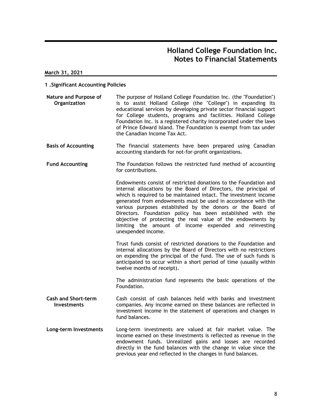**March 31, 2021**

## **1 .Significant Accounting Policies**

| Nature and Purpose of<br>Organization            | The purpose of Holland College Foundation Inc. (the "Foundation")<br>is to assist Holland College (the "College") in expanding its<br>educational services by developing private sector financial support<br>for College students, programs and facilities. Holland College<br>Foundation Inc. is a registered charity incorporated under the laws<br>of Prince Edward Island. The Foundation is exempt from tax under<br>the Canadian Income Tax Act.                                                                                               |
|--------------------------------------------------|------------------------------------------------------------------------------------------------------------------------------------------------------------------------------------------------------------------------------------------------------------------------------------------------------------------------------------------------------------------------------------------------------------------------------------------------------------------------------------------------------------------------------------------------------|
| <b>Basis of Accounting</b>                       | The financial statements have been prepared using Canadian<br>accounting standards for not-for-profit organizations.                                                                                                                                                                                                                                                                                                                                                                                                                                 |
| <b>Fund Accounting</b>                           | The Foundation follows the restricted fund method of accounting<br>for contributions.                                                                                                                                                                                                                                                                                                                                                                                                                                                                |
|                                                  | Endowments consist of restricted donations to the Foundation and<br>internal allocations by the Board of Directors, the principal of<br>which is required to be maintained intact. The investment income<br>generated from endowments must be used in accordance with the<br>various purposes established by the donors or the Board of<br>Directors. Foundation policy has been established with the<br>objective of protecting the real value of the endowments by<br>limiting the amount of income expended and reinvesting<br>unexpended income. |
|                                                  | Trust funds consist of restricted donations to the Foundation and<br>internal allocations by the Board of Directors with no restrictions<br>on expending the principal of the fund. The use of such funds is<br>anticipated to occur within a short period of time (usually within<br>twelve months of receipt).                                                                                                                                                                                                                                     |
|                                                  | The administration fund represents the basic operations of the<br>Foundation.                                                                                                                                                                                                                                                                                                                                                                                                                                                                        |
| <b>Cash and Short-term</b><br><b>Investments</b> | Cash consist of cash balances held with banks and investment<br>companies. Any income earned on these balances are reflected in<br>investment income in the statement of operations and changes in<br>fund balances.                                                                                                                                                                                                                                                                                                                                 |
| Long-term Investments                            | Long-term investments are valued at fair market value. The<br>income earned on these investments is reflected as revenue in the<br>endowment funds. Unrealized gains and losses are recorded<br>directly in the fund balances with the change in value since the<br>previous year end reflected in the changes in fund balances.                                                                                                                                                                                                                     |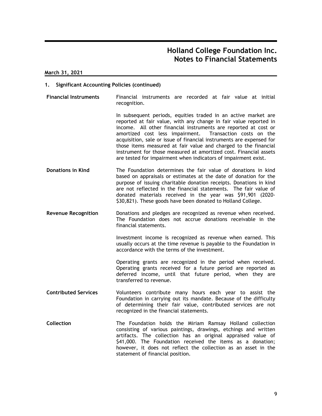**March 31, 2021**

#### **1. Significant Accounting Policies (continued)**

**Financial Instruments** Financial instruments are recorded at fair value at initial recognition. In subsequent periods, equities traded in an active market are reported at fair value, with any change in fair value reported in income. All other financial instruments are reported at cost or amortized cost less impairment. Transaction costs on the acquisition, sale or issue of financial instruments are expensed for those items measured at fair value and charged to the financial instrument for those measured at amortized cost. Financial assets are tested for impairment when indicators of impairment exist. **Donations in Kind** The Foundation determines the fair value of donations in kind based on appraisals or estimates at the date of donation for the purpose of issuing charitable donation receipts. Donations in kind are not reflected in the financial statements. The fair value of donated materials received in the year was \$91,901 (2020- \$30,821). These goods have been donated to Holland College. **Revenue Recognition** Donations and pledges are recognized as revenue when received. The Foundation does not accrue donations receivable in the financial statements. Investment income is recognized as revenue when earned. This usually occurs at the time revenue is payable to the Foundation in accordance with the terms of the investment. Operating grants are recognized in the period when received. Operating grants received for a future period are reported as deferred income, until that future period, when they are transferred to revenue. **Contributed Services** Volunteers contribute many hours each year to assist the Foundation in carrying out its mandate. Because of the difficulty of determining their fair value, contributed services are not recognized in the financial statements. **Collection** The Foundation holds the Miriam Ramsay Holland collection consisting of various paintings, drawings, etchings and written artifacts. The collection has an original appraised value of \$41,000. The Foundation received the items as a donation; however, it does not reflect the collection as an asset in the statement of financial position.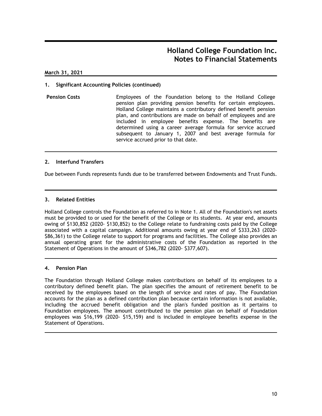**March 31, 2021**

### **1. Significant Accounting Policies (continued)**

**Pension Costs Employees** of the Foundation belong to the Holland College pension plan providing pension benefits for certain employees. Holland College maintains a contributory defined benefit pension plan, and contributions are made on behalf of employees and are included in employee benefits expense. The benefits are determined using a career average formula for service accrued subsequent to January 1, 2007 and best average formula for service accrued prior to that date.

### **2. Interfund Transfers**

Due between Funds represents funds due to be transferred between Endowments and Trust Funds.

### **3. Related Entities**

Holland College controls the Foundation as referred to in Note 1. All of the Foundation's net assets must be provided to or used for the benefit of the College or its students. At year end, amounts owing of \$130,852 (2020- \$130,852) to the College relate to fundraising costs paid by the College associated with a capital campaign. Additional amounts owing at year end of \$333,263 (2020- \$86,361) to the College relate to support for programs and facilities. The College also provides an annual operating grant for the administrative costs of the Foundation as reported in the Statement of Operations in the amount of \$346,782 (2020- \$377,607).

### **4. Pension Plan**

The Foundation through Holland College makes contributions on behalf of its employees to a contributory defined benefit plan. The plan specifies the amount of retirement benefit to be received by the employees based on the length of service and rates of pay. The Foundation accounts for the plan as a defined contribution plan because certain information is not available, including the accrued benefit obligation and the plan's funded position as it pertains to Foundation employees. The amount contributed to the pension plan on behalf of Foundation employees was \$16,199 (2020- \$15,159) and is included in employee benefits expense in the Statement of Operations.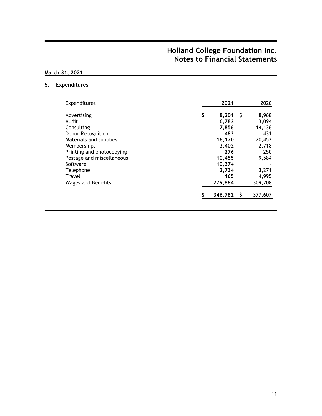### **March 31, 2021**

## **5. Expenditures**

| 2020    |
|---------|
| 8,968   |
| 3,094   |
| 14,136  |
| 431     |
| 20,452  |
| 2,718   |
| 250     |
| 9,584   |
|         |
| 3,271   |
| 4,995   |
| 309,708 |
| 377,607 |
|         |